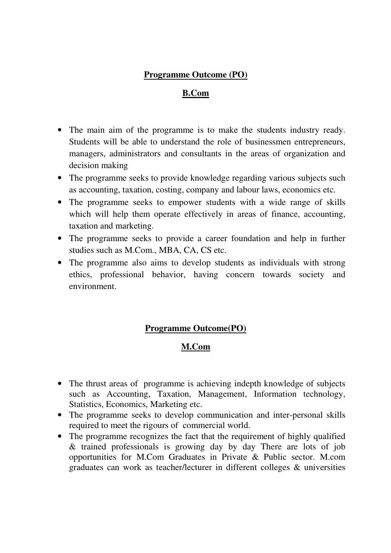## **Programme Outcome (PO)**

#### **B.Com**

- The main aim of the programme is to make the students industry ready. Students will be able to understand the role of businessmen entrepreneurs, managers, administrators and consultants in the areas of organization and decision making
- The programme seeks to provide knowledge regarding various subjects such as accounting, taxation, costing, company and labour laws, economics etc.
- The programme seeks to empower students with a wide range of skills which will help them operate effectively in areas of finance, accounting, taxation and marketing.
- The programme seeks to provide a career foundation and help in further studies such as M.Com., MBA, CA, CS etc.
- The programme also aims to develop students as individuals with strong ethics, professional behavior, having concern towards society and environment.

#### **Programme Outcome(PO)**

#### **M.Com**

- The thrust areas of programme is achieving indepth knowledge of subjects such as Accounting, Taxation, Management, Information technology, Statistics, Economics, Marketing etc.
- The programme seeks to develop communication and inter-personal skills required to meet the rigours of commercial world.
- The programme recognizes the fact that the requirement of highly qualified & trained professionals is growing day by day There are lots of job opportunities for M.Com Graduates in Private & Public sector. M.com graduates can work as teacher/lecturer in different colleges & universities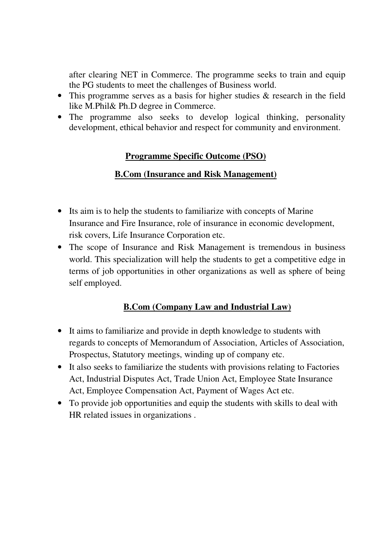after clearing NET in Commerce. The programme seeks to train and equip the PG students to meet the challenges of Business world.

- This programme serves as a basis for higher studies & research in the field like M.Phil& Ph.D degree in Commerce.
- The programme also seeks to develop logical thinking, personality development, ethical behavior and respect for community and environment.

## **Programme Specific Outcome (PSO)**

#### **B.Com (Insurance and Risk Management)**

- Its aim is to help the students to familiarize with concepts of Marine Insurance and Fire Insurance, role of insurance in economic development, risk covers, Life Insurance Corporation etc.
- The scope of Insurance and Risk Management is tremendous in business world. This specialization will help the students to get a competitive edge in terms of job opportunities in other organizations as well as sphere of being self employed.

## **B.Com (Company Law and Industrial Law)**

- It aims to familiarize and provide in depth knowledge to students with regards to concepts of Memorandum of Association, Articles of Association, Prospectus, Statutory meetings, winding up of company etc.
- It also seeks to familiarize the students with provisions relating to Factories Act, Industrial Disputes Act, Trade Union Act, Employee State Insurance Act, Employee Compensation Act, Payment of Wages Act etc.
- To provide job opportunities and equip the students with skills to deal with HR related issues in organizations .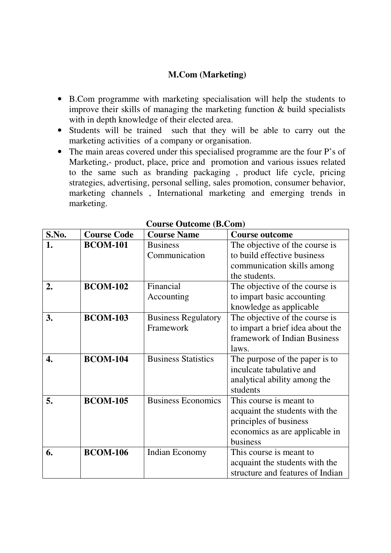## **M.Com (Marketing)**

- B.Com programme with marketing specialisation will help the students to improve their skills of managing the marketing function & build specialists with in depth knowledge of their elected area.
- Students will be trained such that they will be able to carry out the marketing activities of a company or organisation.
- The main areas covered under this specialised programme are the four P's of Marketing,- product, place, price and promotion and various issues related to the same such as branding packaging , product life cycle, pricing strategies, advertising, personal selling, sales promotion, consumer behavior, marketing channels , International marketing and emerging trends in marketing.

| S.No. | <b>Course Code</b> | <b>Course Name</b>         | <b>Course outcome</b>            |  |
|-------|--------------------|----------------------------|----------------------------------|--|
| 1.    | <b>BCOM-101</b>    | <b>Business</b>            | The objective of the course is   |  |
|       |                    | Communication              | to build effective business      |  |
|       |                    |                            | communication skills among       |  |
|       |                    |                            | the students.                    |  |
| 2.    | <b>BCOM-102</b>    | Financial                  | The objective of the course is   |  |
|       |                    | Accounting                 | to impart basic accounting       |  |
|       |                    |                            | knowledge as applicable          |  |
| 3.    | <b>BCOM-103</b>    | <b>Business Regulatory</b> | The objective of the course is   |  |
|       |                    | Framework                  | to impart a brief idea about the |  |
|       |                    |                            | framework of Indian Business     |  |
|       |                    |                            | laws.                            |  |
| 4.    | <b>BCOM-104</b>    | <b>Business Statistics</b> | The purpose of the paper is to   |  |
|       |                    |                            | inculcate tabulative and         |  |
|       |                    |                            | analytical ability among the     |  |
|       |                    |                            | students                         |  |
| 5.    | <b>BCOM-105</b>    | <b>Business Economics</b>  | This course is meant to          |  |
|       |                    |                            | acquaint the students with the   |  |
|       |                    |                            | principles of business           |  |
|       |                    |                            | economics as are applicable in   |  |
|       |                    |                            | business                         |  |
| 6.    | <b>BCOM-106</b>    | Indian Economy             | This course is meant to          |  |
|       |                    |                            | acquaint the students with the   |  |
|       |                    |                            | structure and features of Indian |  |

**Course Outcome (B.Com)**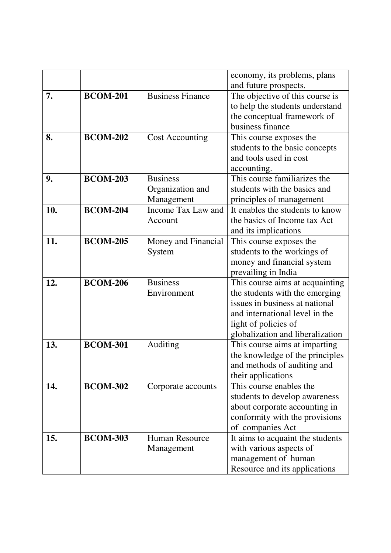|     |                 |                         | economy, its problems, plans                         |  |
|-----|-----------------|-------------------------|------------------------------------------------------|--|
|     |                 |                         | and future prospects.                                |  |
| 7.  | <b>BCOM-201</b> | <b>Business Finance</b> | The objective of this course is                      |  |
|     |                 |                         | to help the students understand                      |  |
|     |                 |                         | the conceptual framework of                          |  |
|     |                 |                         | business finance                                     |  |
| 8.  | <b>BCOM-202</b> | <b>Cost Accounting</b>  | This course exposes the                              |  |
|     |                 |                         | students to the basic concepts                       |  |
|     |                 |                         | and tools used in cost                               |  |
|     |                 |                         | accounting.                                          |  |
| 9.  | <b>BCOM-203</b> | <b>Business</b>         | This course familiarizes the                         |  |
|     |                 | Organization and        | students with the basics and                         |  |
|     |                 | Management              | principles of management                             |  |
| 10. | <b>BCOM-204</b> | Income Tax Law and      | It enables the students to know                      |  |
|     |                 | Account                 | the basics of Income tax Act<br>and its implications |  |
|     |                 |                         |                                                      |  |
| 11. | <b>BCOM-205</b> | Money and Financial     | This course exposes the                              |  |
|     |                 | System                  | students to the workings of                          |  |
|     |                 |                         | money and financial system                           |  |
|     |                 |                         | prevailing in India                                  |  |
| 12. | <b>BCOM-206</b> | <b>Business</b>         | This course aims at acquainting                      |  |
|     |                 | Environment             | the students with the emerging                       |  |
|     |                 |                         | issues in business at national                       |  |
|     |                 |                         | and international level in the                       |  |
|     |                 |                         | light of policies of                                 |  |
|     |                 |                         | globalization and liberalization                     |  |
| 13. | <b>BCOM-301</b> | Auditing                | This course aims at imparting                        |  |
|     |                 |                         | the knowledge of the principles                      |  |
|     |                 |                         | and methods of auditing and                          |  |
|     |                 |                         | their applications                                   |  |
| 14. | <b>BCOM-302</b> | Corporate accounts      | This course enables the                              |  |
|     |                 |                         | students to develop awareness                        |  |
|     |                 |                         | about corporate accounting in                        |  |
|     |                 |                         | conformity with the provisions                       |  |
|     |                 |                         | of companies Act                                     |  |
| 15. | <b>BCOM-303</b> | <b>Human Resource</b>   | It aims to acquaint the students                     |  |
|     |                 | Management              | with various aspects of                              |  |
|     |                 |                         | management of human                                  |  |
|     |                 |                         | Resource and its applications                        |  |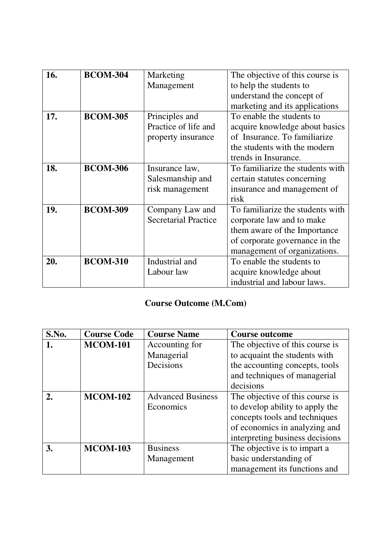| 16. | <b>BCOM-304</b> | Marketing                   | The objective of this course is  |
|-----|-----------------|-----------------------------|----------------------------------|
|     |                 | Management                  | to help the students to          |
|     |                 |                             | understand the concept of        |
|     |                 |                             | marketing and its applications   |
| 17. | <b>BCOM-305</b> | Principles and              | To enable the students to        |
|     |                 | Practice of life and        | acquire knowledge about basics   |
|     |                 | property insurance          | of Insurance. To familiarize     |
|     |                 |                             | the students with the modern     |
|     |                 |                             | trends in Insurance.             |
| 18. | <b>BCOM-306</b> | Insurance law,              | To familiarize the students with |
|     |                 | Salesmanship and            | certain statutes concerning      |
|     |                 | risk management             | insurance and management of      |
|     |                 |                             | risk                             |
| 19. | <b>BCOM-309</b> | Company Law and             | To familiarize the students with |
|     |                 | <b>Secretarial Practice</b> | corporate law and to make        |
|     |                 |                             | them aware of the Importance     |
|     |                 |                             | of corporate governance in the   |
|     |                 |                             | management of organizations.     |
| 20. | <b>BCOM-310</b> | Industrial and              | To enable the students to        |
|     |                 | Labour law                  | acquire knowledge about          |
|     |                 |                             | industrial and labour laws.      |

# **Course Outcome (M.Com)**

| S.No.        | <b>Course Code</b> | <b>Course Name</b>       | <b>Course outcome</b>           |  |
|--------------|--------------------|--------------------------|---------------------------------|--|
| 1.           | <b>MCOM-101</b>    | Accounting for           | The objective of this course is |  |
|              |                    | Managerial               | to acquaint the students with   |  |
|              |                    | Decisions                | the accounting concepts, tools  |  |
|              |                    |                          | and techniques of managerial    |  |
|              |                    |                          | decisions                       |  |
| $\mathbf{2}$ | <b>MCOM-102</b>    | <b>Advanced Business</b> | The objective of this course is |  |
|              |                    | Economics                | to develop ability to apply the |  |
|              |                    |                          | concepts tools and techniques   |  |
|              |                    |                          | of economics in analyzing and   |  |
|              |                    |                          | interpreting business decisions |  |
| 3.           | <b>MCOM-103</b>    | <b>Business</b>          | The objective is to impart a    |  |
|              |                    | Management               | basic understanding of          |  |
|              |                    |                          | management its functions and    |  |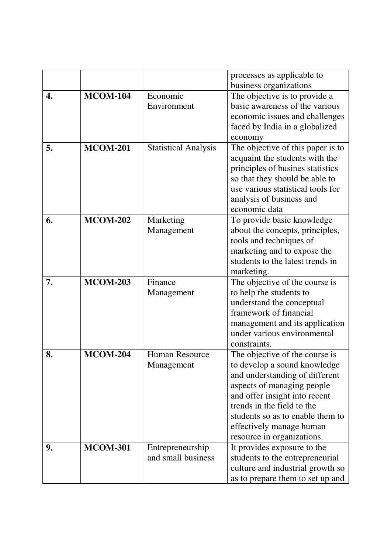|    |                 |                             | processes as applicable to        |
|----|-----------------|-----------------------------|-----------------------------------|
|    |                 |                             | business organizations            |
| 4. | <b>MCOM-104</b> | Economic                    | The objective is to provide a     |
|    |                 | Environment                 | basic awareness of the various    |
|    |                 |                             | economic issues and challenges    |
|    |                 |                             | faced by India in a globalized    |
|    |                 |                             | economy                           |
| 5. | <b>MCOM-201</b> | <b>Statistical Analysis</b> | The objective of this paper is to |
|    |                 |                             | acquaint the students with the    |
|    |                 |                             | principles of busines statistics  |
|    |                 |                             | so that they should be able to    |
|    |                 |                             | use various statistical tools for |
|    |                 |                             | analysis of business and          |
|    |                 |                             | economic data                     |
| 6. | <b>MCOM-202</b> | Marketing                   | To provide basic knowledge        |
|    |                 | Management                  | about the concepts, principles,   |
|    |                 |                             | tools and techniques of           |
|    |                 |                             | marketing and to expose the       |
|    |                 |                             | students to the latest trends in  |
|    |                 |                             | marketing.                        |
| 7. | <b>MCOM-203</b> | Finance                     | The objective of the course is    |
|    |                 | Management                  | to help the students to           |
|    |                 |                             | understand the conceptual         |
|    |                 |                             | framework of financial            |
|    |                 |                             | management and its application    |
|    |                 |                             | under various environmental       |
|    |                 |                             | constraints.                      |
| 8. | <b>MCOM-204</b> | <b>Human Resource</b>       | The objective of the course is    |
|    |                 | Management                  | to develop a sound knowledge      |
|    |                 |                             | and understanding of different    |
|    |                 |                             | aspects of managing people        |
|    |                 |                             | and offer insight into recent     |
|    |                 |                             | trends in the field to the        |
|    |                 |                             | students so as to enable them to  |
|    |                 |                             | effectively manage human          |
|    |                 |                             | resource in organizations.        |
| 9. | <b>MCOM-301</b> | Entrepreneurship            | It provides exposure to the       |
|    |                 | and small business          | students to the entrepreneurial   |
|    |                 |                             | culture and industrial growth so  |
|    |                 |                             | as to prepare them to set up and  |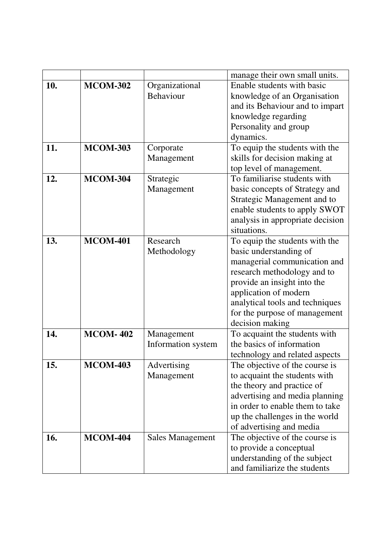|     |                 |                         | manage their own small units.                                     |  |
|-----|-----------------|-------------------------|-------------------------------------------------------------------|--|
| 10. | <b>MCOM-302</b> | Organizational          | Enable students with basic                                        |  |
|     |                 | Behaviour               | knowledge of an Organisation                                      |  |
|     |                 |                         | and its Behaviour and to impart                                   |  |
|     |                 |                         | knowledge regarding                                               |  |
|     |                 |                         | Personality and group                                             |  |
|     |                 |                         | dynamics.                                                         |  |
| 11. | <b>MCOM-303</b> | Corporate               | To equip the students with the                                    |  |
|     |                 | Management              | skills for decision making at                                     |  |
|     |                 |                         | top level of management.                                          |  |
| 12. | <b>MCOM-304</b> | Strategic               | To familiarise students with                                      |  |
|     |                 | Management              | basic concepts of Strategy and                                    |  |
|     |                 |                         | Strategic Management and to                                       |  |
|     |                 |                         | enable students to apply SWOT                                     |  |
|     |                 |                         | analysis in appropriate decision                                  |  |
|     |                 |                         | situations.                                                       |  |
| 13. | <b>MCOM-401</b> | Research                | To equip the students with the                                    |  |
|     |                 | Methodology             | basic understanding of                                            |  |
|     |                 |                         | managerial communication and                                      |  |
|     |                 |                         | research methodology and to                                       |  |
|     |                 |                         | provide an insight into the                                       |  |
|     |                 |                         | application of modern                                             |  |
|     |                 |                         | analytical tools and techniques                                   |  |
|     |                 |                         | for the purpose of management                                     |  |
|     |                 |                         | decision making                                                   |  |
| 14. | <b>MCOM-402</b> | Management              | To acquaint the students with                                     |  |
|     |                 | Information system      | the basics of information                                         |  |
|     |                 |                         | technology and related aspects                                    |  |
| 15. | <b>MCOM-403</b> | Advertising             | The objective of the course is                                    |  |
|     |                 | Management              | to acquaint the students with                                     |  |
|     |                 |                         | the theory and practice of                                        |  |
|     |                 |                         | advertising and media planning<br>in order to enable them to take |  |
|     |                 |                         |                                                                   |  |
|     |                 |                         | up the challenges in the world                                    |  |
|     |                 |                         | of advertising and media                                          |  |
| 16. | <b>MCOM-404</b> | <b>Sales Management</b> | The objective of the course is                                    |  |
|     |                 |                         | to provide a conceptual                                           |  |
|     |                 |                         | understanding of the subject                                      |  |
|     |                 |                         | and familiarize the students                                      |  |